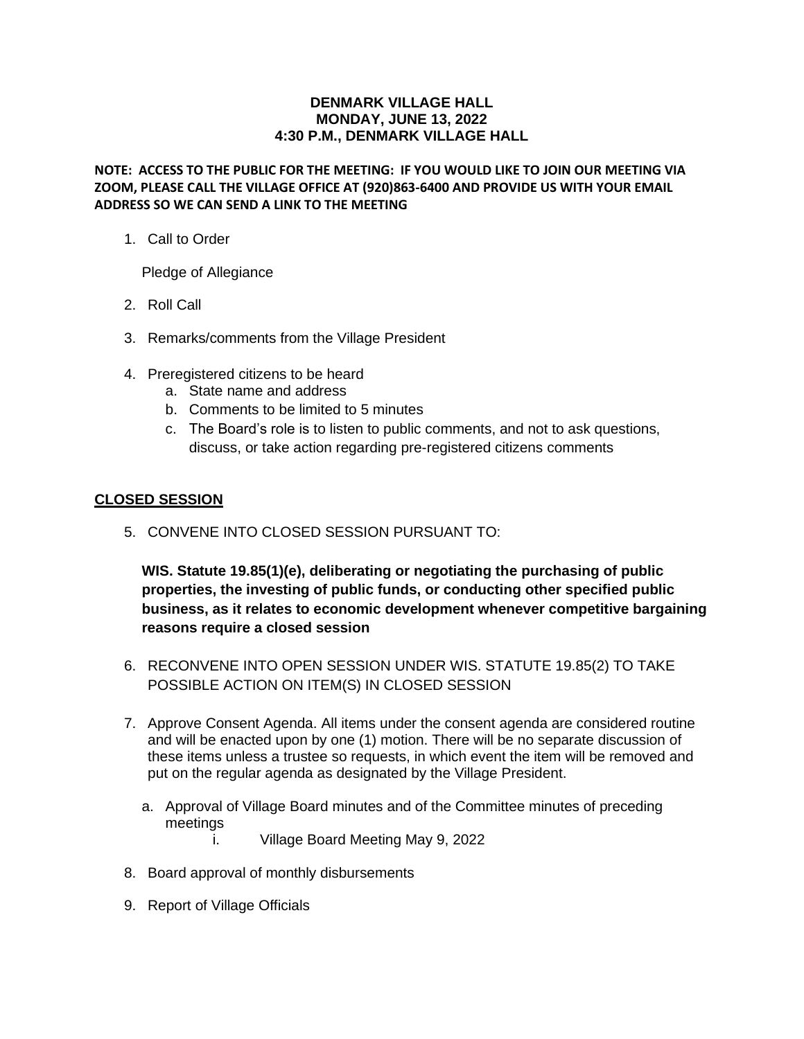## **DENMARK VILLAGE HALL MONDAY, JUNE 13, 2022 4:30 P.M., DENMARK VILLAGE HALL**

**NOTE: ACCESS TO THE PUBLIC FOR THE MEETING: IF YOU WOULD LIKE TO JOIN OUR MEETING VIA ZOOM, PLEASE CALL THE VILLAGE OFFICE AT (920)863-6400 AND PROVIDE US WITH YOUR EMAIL ADDRESS SO WE CAN SEND A LINK TO THE MEETING**

1. Call to Order

Pledge of Allegiance

- 2. Roll Call
- 3. Remarks/comments from the Village President
- 4. Preregistered citizens to be heard
	- a. State name and address
	- b. Comments to be limited to 5 minutes
	- c. The Board's role is to listen to public comments, and not to ask questions, discuss, or take action regarding pre-registered citizens comments

## **CLOSED SESSION**

5. CONVENE INTO CLOSED SESSION PURSUANT TO:

**WIS. Statute 19.85(1)(e), deliberating or negotiating the purchasing of public properties, the investing of public funds, or conducting other specified public business, as it relates to economic development whenever competitive bargaining reasons require a closed session**

- 6. RECONVENE INTO OPEN SESSION UNDER WIS. STATUTE 19.85(2) TO TAKE POSSIBLE ACTION ON ITEM(S) IN CLOSED SESSION
- 7. Approve Consent Agenda. All items under the consent agenda are considered routine and will be enacted upon by one (1) motion. There will be no separate discussion of these items unless a trustee so requests, in which event the item will be removed and put on the regular agenda as designated by the Village President.
	- a. Approval of Village Board minutes and of the Committee minutes of preceding meetings
		- i. Village Board Meeting May 9, 2022
- 8. Board approval of monthly disbursements
- 9. Report of Village Officials